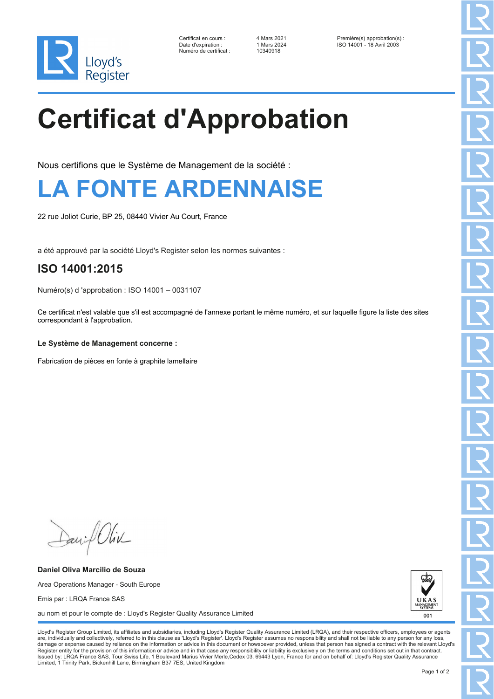

Numéro de certificat : 10340918

Certificat en cours : 4 Mars 2021 Première(s) approbation(s) : Date d'expiration : 1 Mars 2024 ISO 14001 - 18 Avril 2003

# **Certificat d'Approbation**

Nous certifions que le Système de Management de la société :

### **LA FONTE ARDENNAISE**

22 rue Joliot Curie, BP 25, 08440 Vivier Au Court, France

a été approuvé par la société Lloyd's Register selon les normes suivantes :

### **ISO 14001:2015**

Numéro(s) d 'approbation : ISO 14001 – 0031107

Ce certificat n'est valable que s'il est accompagné de l'annexe portant le même numéro, et sur laquelle figure la liste des sites correspondant à l'approbation.

#### **Le Système de Management concerne :**

Fabrication de pièces en fonte à graphite lamellaire

Daniel Oliv

**Daniel Oliva Marcilio de Souza** Area Operations Manager - South Europe Emis par : LRQA France SAS au nom et pour le compte de : Lloyd's Register Quality Assurance Limited



Lloyd's Register Group Limited, its affiliates and subsidiaries, including Lloyd's Register Quality Assurance Limited (LRQA), and their respective officers, employees or agents are, individually and collectively, referred to in this clause as 'Lloyd's Register'. Lloyd's Register assumes no responsibility and shall not be liable to any person for any los damage or expense caused by reliance on the information or advice in this document or howsoever provided, unless that person has signed a contract with the relevant Lloyd's<br>Register entity for the provision of this informa Issued by: LRQA France SAS, Tour Swiss Life, 1 Boulevard Marius Vivier Merle,Cedex 03, 69443 Lyon, France for and on behalf of: Lloyd's Register Quality Assurance Limited, 1 Trinity Park, Bickenhill Lane, Birmingham B37 7ES, United Kingdom